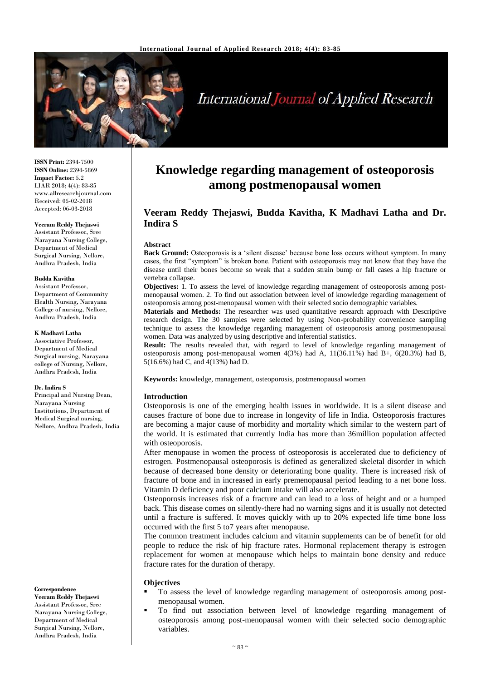

# **International Journal of Applied Research**

**ISSN Print:** 2394-7500 **ISSN Online:** 2394-5869 **Impact Factor:** 5.2 IJAR 2018; 4(4): 83-85 www.allresearchjournal.com Received: 05-02-2018 Accepted: 06-03-2018

#### **Veeram Reddy Thejaswi** Assistant Professor, Sree

Narayana Nursing College, Department of Medical Surgical Nursing, Nellore, Andhra Pradesh, India

#### **Budda Kavitha**

Assistant Professor, Department of Community Health Nursing, Narayana College of nursing, Nellore, Andhra Pradesh, India

#### **K Madhavi Latha**

Associative Professor, Department of Medical Surgical nursing, Narayana college of Nursing, Nellore, Andhra Pradesh, India

#### **Dr. Indira S**

Principal and Nursing Dean, Narayana Nursing Institutions, Department of Medical Surgical nursing, Nellore, Andhra Pradesh, India

#### **Correspondence**

**Veeram Reddy Thejaswi** Assistant Professor, Sree Narayana Nursing College, Department of Medical Surgical Nursing, Nellore, Andhra Pradesh, India

## **Knowledge regarding management of osteoporosis among postmenopausal women**

## **Veeram Reddy Thejaswi, Budda Kavitha, K Madhavi Latha and Dr. Indira S**

#### **Abstract**

**Back Ground:** Osteoporosis is a 'silent disease' because bone loss occurs without symptom. In many cases, the first "symptom" is broken bone. Patient with osteoporosis may not know that they have the disease until their bones become so weak that a sudden strain bump or fall cases a hip fracture or vertebra collapse.

**Objectives:** 1. To assess the level of knowledge regarding management of osteoporosis among postmenopausal women. 2. To find out association between level of knowledge regarding management of osteoporosis among post-menopausal women with their selected socio demographic variables.

**Materials and Methods:** The researcher was used quantitative research approach with Descriptive research design. The 30 samples were selected by using Non-probability convenience sampling technique to assess the knowledge regarding management of osteoporosis among postmenopausal women. Data was analyzed by using descriptive and inferential statistics.

**Result:** The results revealed that, with regard to level of knowledge regarding management of osteoporosis among post-menopausal women  $4(3%)$  had A,  $11(36.11%)$  had B+,  $6(20.3%)$  had B, 5(16.6%) had C, and 4(13%) had D.

**Keywords:** knowledge, management, osteoporosis, postmenopausal women

### **Introduction**

Osteoporosis is one of the emerging health issues in worldwide. It is a silent disease and causes fracture of bone due to increase in longevity of life in India. Osteoporosis fractures are becoming a major cause of morbidity and mortality which similar to the western part of the world. It is estimated that currently India has more than 36million population affected with osteoporosis.

After menopause in women the process of osteoporosis is accelerated due to deficiency of estrogen. Postmenopausal osteoporosis is defined as generalized skeletal disorder in which because of decreased bone density or deteriorating bone quality. There is increased risk of fracture of bone and in increased in early premenopausal period leading to a net bone loss. Vitamin D deficiency and poor calcium intake will also accelerate.

Osteoporosis increases risk of a fracture and can lead to a loss of height and or a humped back. This disease comes on silently-there had no warning signs and it is usually not detected until a fracture is suffered. It moves quickly with up to 20% expected life time bone loss occurred with the first 5 to7 years after menopause.

The common treatment includes calcium and vitamin supplements can be of benefit for old people to reduce the risk of hip fracture rates. Hormonal replacement therapy is estrogen replacement for women at menopause which helps to maintain bone density and reduce fracture rates for the duration of therapy.

#### **Objectives**

- To assess the level of knowledge regarding management of osteoporosis among postmenopausal women.
- To find out association between level of knowledge regarding management of osteoporosis among post-menopausal women with their selected socio demographic variables.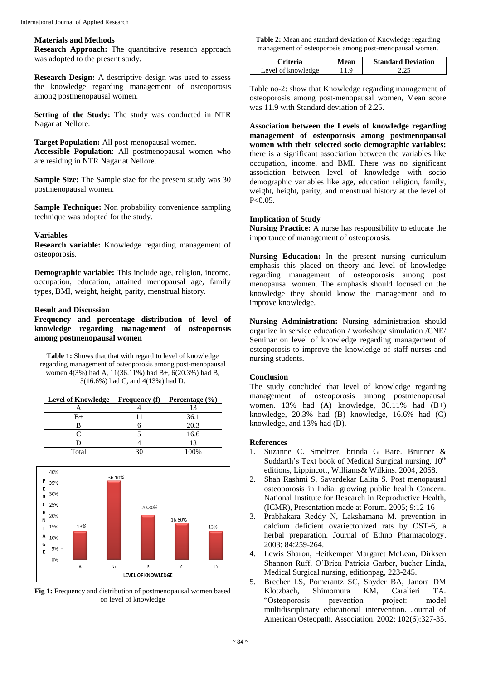#### **Materials and Methods**

**Research Approach:** The quantitative research approach was adopted to the present study.

**Research Design:** A descriptive design was used to assess the knowledge regarding management of osteoporosis among postmenopausal women.

**Setting of the Study:** The study was conducted in NTR Nagar at Nellore.

**Target Population:** All post-menopausal women.

**Accessible Population**: All postmenopausal women who are residing in NTR Nagar at Nellore.

**Sample Size:** The Sample size for the present study was 30 postmenopausal women.

**Sample Technique:** Non probability convenience sampling technique was adopted for the study.

#### **Variables**

**Research variable:** Knowledge regarding management of osteoporosis.

**Demographic variable:** This include age, religion, income, occupation, education, attained menopausal age, family types, BMI, weight, height, parity, menstrual history.

#### **Result and Discussion**

**Frequency and percentage distribution of level of knowledge regarding management of osteoporosis among postmenopausal women**

**Table 1:** Shows that that with regard to level of knowledge regarding management of osteoporosis among post-menopausal women 4(3%) had A, 11(36.11%) had B+, 6(20.3%) had B, 5(16.6%) had C, and 4(13%) had D.

| <b>Level of Knowledge</b> | <b>Frequency</b> (f) | Percentage $(\% )$ |
|---------------------------|----------------------|--------------------|
|                           |                      |                    |
| R+                        |                      | 36.1               |
|                           |                      | 20.3               |
|                           |                      | 16.6               |
|                           |                      | 13                 |
| Total                     |                      | $100\%$            |



**Fig 1:** Frequency and distribution of postmenopausal women based on level of knowledge

**Table 2:** Mean and standard deviation of Knowledge regarding management of osteoporosis among post-menopausal women.

| Criteria           | Mean | <b>Standard Deviation</b> |
|--------------------|------|---------------------------|
| Level of knowledge | .1.9 |                           |

Table no-2: show that Knowledge regarding management of osteoporosis among post-menopausal women, Mean score was 11.9 with Standard deviation of 2.25.

**Association between the Levels of knowledge regarding management of osteoporosis among postmenopausal women with their selected socio demographic variables:**  there is a significant association between the variables like occupation, income, and BMI. There was no significant association between level of knowledge with socio demographic variables like age, education religion, family, weight, height, parity, and menstrual history at the level of  $P < 0.05$ .

#### **Implication of Study**

**Nursing Practice:** A nurse has responsibility to educate the importance of management of osteoporosis.

**Nursing Education:** In the present nursing curriculum emphasis this placed on theory and level of knowledge regarding management of osteoporosis among post menopausal women. The emphasis should focused on the knowledge they should know the management and to improve knowledge.

**Nursing Administration:** Nursing administration should organize in service education / workshop/ simulation /CNE/ Seminar on level of knowledge regarding management of osteoporosis to improve the knowledge of staff nurses and nursing students.

#### **Conclusion**

The study concluded that level of knowledge regarding management of osteoporosis among postmenopausal women.  $13\%$  had  $(A)$  knowledge,  $36.11\%$  had  $(B+)$ knowledge, 20.3% had (B) knowledge, 16.6% had (C) knowledge, and 13% had (D).

## **References**

- 1. Suzanne C. Smeltzer, brinda G Bare. Brunner & Suddarth's Text book of Medical Surgical nursing, 10<sup>th</sup> editions, Lippincott, Williams& Wilkins. 2004, 2058.
- 2. Shah Rashmi S, Savardekar Lalita S. Post menopausal osteoporosis in India: growing public health Concern. National Institute for Research in Reproductive Health, (ICMR), Presentation made at Forum. 2005; 9:12-16
- 3. Prabhakara Reddy N, Lakshamana M. prevention in calcium deficient ovariectonized rats by OST-6, a herbal preparation. Journal of Ethno Pharmacology. 2003; 84:259-264.
- 4. Lewis Sharon, Heitkemper Margaret McLean, Dirksen Shannon Ruff. O'Brien Patricia Garber, bucher Linda, Medical Surgical nursing, editionpag, 223-245.
- 5. Brecher LS, Pomerantz SC, Snyder BA, Janora DM Shimomura KM, Caralieri TA. "Osteoporosis prevention project: model multidisciplinary educational intervention. Journal of American Osteopath. Association. 2002; 102(6):327-35.